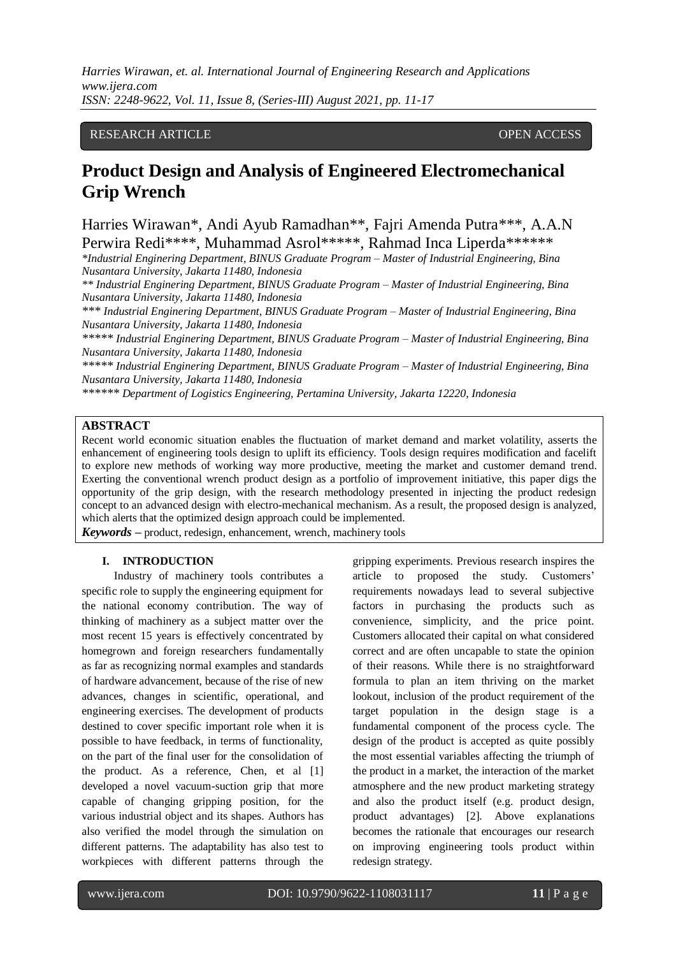# RESEARCH ARTICLE **CONSERVERS** OPEN ACCESS

# **Product Design and Analysis of Engineered Electromechanical Grip Wrench**

Harries Wirawan\*, Andi Ayub Ramadhan\*\*, Fajri Amenda Putra\*\*\*, A.A.N Perwira Redi\*\*\*\*, Muhammad Asrol\*\*\*\*\*, Rahmad Inca Liperda\*\*\*\*\*\*\*

*\*Industrial Enginering Department, BINUS Graduate Program – Master of Industrial Engineering, Bina Nusantara University, Jakarta 11480, Indonesia*

*\*\* Industrial Enginering Department, BINUS Graduate Program – Master of Industrial Engineering, Bina Nusantara University, Jakarta 11480, Indonesia*

*\*\*\* Industrial Enginering Department, BINUS Graduate Program – Master of Industrial Engineering, Bina Nusantara University, Jakarta 11480, Indonesia*

*\*\*\*\*\* Industrial Enginering Department, BINUS Graduate Program – Master of Industrial Engineering, Bina Nusantara University, Jakarta 11480, Indonesia*

*\*\*\*\*\* Industrial Enginering Department, BINUS Graduate Program – Master of Industrial Engineering, Bina Nusantara University, Jakarta 11480, Indonesia*

*\*\*\*\*\*\* Department of Logistics Engineering, Pertamina University, Jakarta 12220, Indonesia*

## **ABSTRACT**

Recent world economic situation enables the fluctuation of market demand and market volatility, asserts the enhancement of engineering tools design to uplift its efficiency. Tools design requires modification and facelift to explore new methods of working way more productive, meeting the market and customer demand trend. Exerting the conventional wrench product design as a portfolio of improvement initiative, this paper digs the opportunity of the grip design, with the research methodology presented in injecting the product redesign concept to an advanced design with electro-mechanical mechanism. As a result, the proposed design is analyzed, which alerts that the optimized design approach could be implemented.

*Keywords* **–** product, redesign, enhancement, wrench, machinery tools

## **I. INTRODUCTION**

Industry of machinery tools contributes a specific role to supply the engineering equipment for the national economy contribution. The way of thinking of machinery as a subject matter over the most recent 15 years is effectively concentrated by homegrown and foreign researchers fundamentally as far as recognizing normal examples and standards of hardware advancement, because of the rise of new advances, changes in scientific, operational, and engineering exercises. The development of products destined to cover specific important role when it is possible to have feedback, in terms of functionality, on the part of the final user for the consolidation of the product. As a reference, Chen, et al [1] developed a novel vacuum-suction grip that more capable of changing gripping position, for the various industrial object and its shapes. Authors has also verified the model through the simulation on different patterns. The adaptability has also test to workpieces with different patterns through the

gripping experiments. Previous research inspires the article to proposed the study. Customers' requirements nowadays lead to several subjective factors in purchasing the products such as convenience, simplicity, and the price point. Customers allocated their capital on what considered correct and are often uncapable to state the opinion of their reasons. While there is no straightforward formula to plan an item thriving on the market lookout, inclusion of the product requirement of the target population in the design stage is a fundamental component of the process cycle. The design of the product is accepted as quite possibly the most essential variables affecting the triumph of the product in a market, the interaction of the market atmosphere and the new product marketing strategy and also the product itself (e.g. product design, product advantages) [2]. Above explanations becomes the rationale that encourages our research on improving engineering tools product within redesign strategy.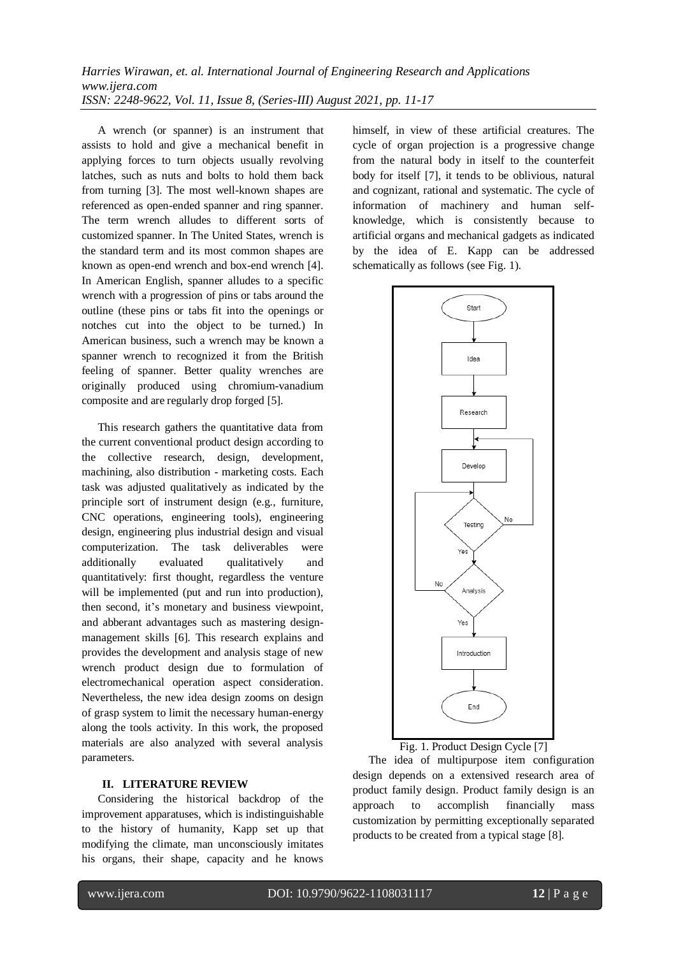A wrench (or spanner) is an instrument that assists to hold and give a mechanical benefit in applying forces to turn objects usually revolving latches, such as nuts and bolts to hold them back from turning [3]. The most well-known shapes are referenced as open-ended spanner and ring spanner. The term wrench alludes to different sorts of customized spanner. In The United States, wrench is the standard term and its most common shapes are known as open-end wrench and box-end wrench [4]. In American English, spanner alludes to a specific wrench with a progression of pins or tabs around the outline (these pins or tabs fit into the openings or notches cut into the object to be turned.) In American business, such a wrench may be known a spanner wrench to recognized it from the British feeling of spanner. Better quality wrenches are originally produced using chromium-vanadium composite and are regularly drop forged [5].

This research gathers the quantitative data from the current conventional product design according to the collective research, design, development, machining, also distribution - marketing costs. Each task was adjusted qualitatively as indicated by the principle sort of instrument design (e.g., furniture, CNC operations, engineering tools), engineering design, engineering plus industrial design and visual computerization. The task deliverables were additionally evaluated qualitatively and quantitatively: first thought, regardless the venture will be implemented (put and run into production), then second, it's monetary and business viewpoint, and abberant advantages such as mastering designmanagement skills [6]. This research explains and provides the development and analysis stage of new wrench product design due to formulation of electromechanical operation aspect consideration. Nevertheless, the new idea design zooms on design of grasp system to limit the necessary human-energy along the tools activity. In this work, the proposed materials are also analyzed with several analysis parameters.

## **II. LITERATURE REVIEW**

Considering the historical backdrop of the improvement apparatuses, which is indistinguishable to the history of humanity, Kapp set up that modifying the climate, man unconsciously imitates his organs, their shape, capacity and he knows

himself, in view of these artificial creatures. The cycle of organ projection is a progressive change from the natural body in itself to the counterfeit body for itself [7], it tends to be oblivious, natural and cognizant, rational and systematic. The cycle of information of machinery and human selfknowledge, which is consistently because to artificial organs and mechanical gadgets as indicated by the idea of E. Kapp can be addressed schematically as follows (see Fig. 1).



Fig. 1. Product Design Cycle [7]

The idea of multipurpose item configuration design depends on a extensived research area of product family design. Product family design is an approach to accomplish financially mass customization by permitting exceptionally separated products to be created from a typical stage [8].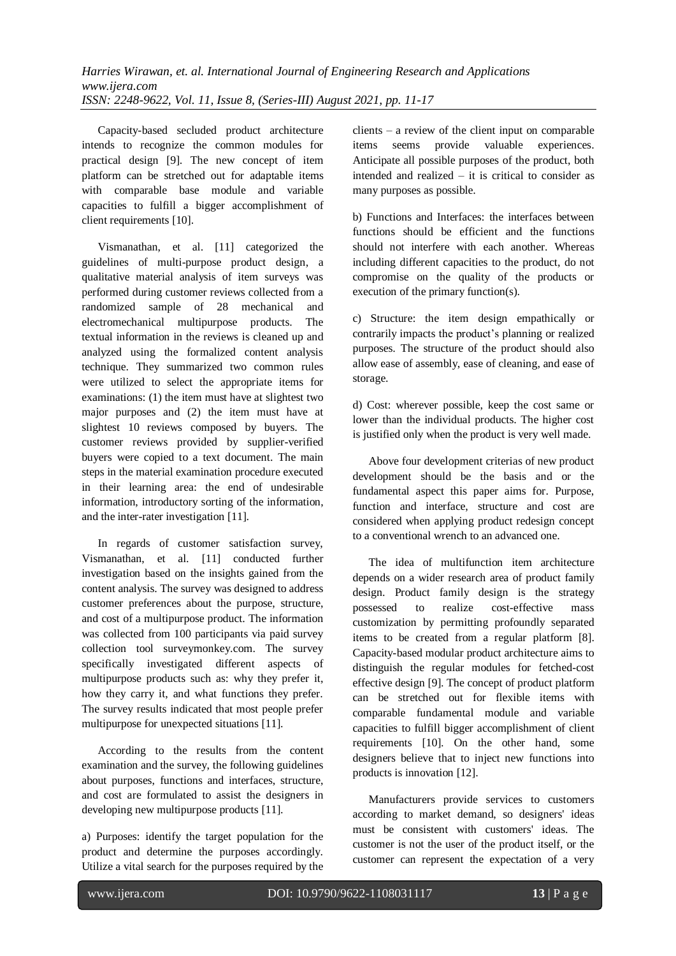Capacity-based secluded product architecture intends to recognize the common modules for practical design [9]. The new concept of item platform can be stretched out for adaptable items with comparable base module and variable capacities to fulfill a bigger accomplishment of client requirements [10].

Vismanathan, et al. [11] categorized the guidelines of multi-purpose product design, a qualitative material analysis of item surveys was performed during customer reviews collected from a randomized sample of 28 mechanical and electromechanical multipurpose products. The textual information in the reviews is cleaned up and analyzed using the formalized content analysis technique. They summarized two common rules were utilized to select the appropriate items for examinations: (1) the item must have at slightest two major purposes and (2) the item must have at slightest 10 reviews composed by buyers. The customer reviews provided by supplier-verified buyers were copied to a text document. The main steps in the material examination procedure executed in their learning area: the end of undesirable information, introductory sorting of the information, and the inter-rater investigation [11].

In regards of customer satisfaction survey, Vismanathan, et al*.* [11] conducted further investigation based on the insights gained from the content analysis. The survey was designed to address customer preferences about the purpose, structure, and cost of a multipurpose product. The information was collected from 100 participants via paid survey collection tool surveymonkey.com. The survey specifically investigated different aspects of multipurpose products such as: why they prefer it, how they carry it, and what functions they prefer. The survey results indicated that most people prefer multipurpose for unexpected situations [11].

According to the results from the content examination and the survey, the following guidelines about purposes, functions and interfaces, structure, and cost are formulated to assist the designers in developing new multipurpose products [11].

a) Purposes: identify the target population for the product and determine the purposes accordingly. Utilize a vital search for the purposes required by the clients – a review of the client input on comparable items seems provide valuable experiences. Anticipate all possible purposes of the product, both intended and realized – it is critical to consider as many purposes as possible.

b) Functions and Interfaces: the interfaces between functions should be efficient and the functions should not interfere with each another. Whereas including different capacities to the product, do not compromise on the quality of the products or execution of the primary function(s).

c) Structure: the item design empathically or contrarily impacts the product's planning or realized purposes. The structure of the product should also allow ease of assembly, ease of cleaning, and ease of storage.

d) Cost: wherever possible, keep the cost same or lower than the individual products. The higher cost is justified only when the product is very well made.

Above four development criterias of new product development should be the basis and or the fundamental aspect this paper aims for. Purpose, function and interface, structure and cost are considered when applying product redesign concept to a conventional wrench to an advanced one.

The idea of multifunction item architecture depends on a wider research area of product family design. Product family design is the strategy possessed to realize cost-effective mass customization by permitting profoundly separated items to be created from a regular platform [8]. Capacity-based modular product architecture aims to distinguish the regular modules for fetched-cost effective design [9]. The concept of product platform can be stretched out for flexible items with comparable fundamental module and variable capacities to fulfill bigger accomplishment of client requirements [10]. On the other hand, some designers believe that to inject new functions into products is innovation [12].

Manufacturers provide services to customers according to market demand, so designers' ideas must be consistent with customers' ideas. The customer is not the user of the product itself, or the customer can represent the expectation of a very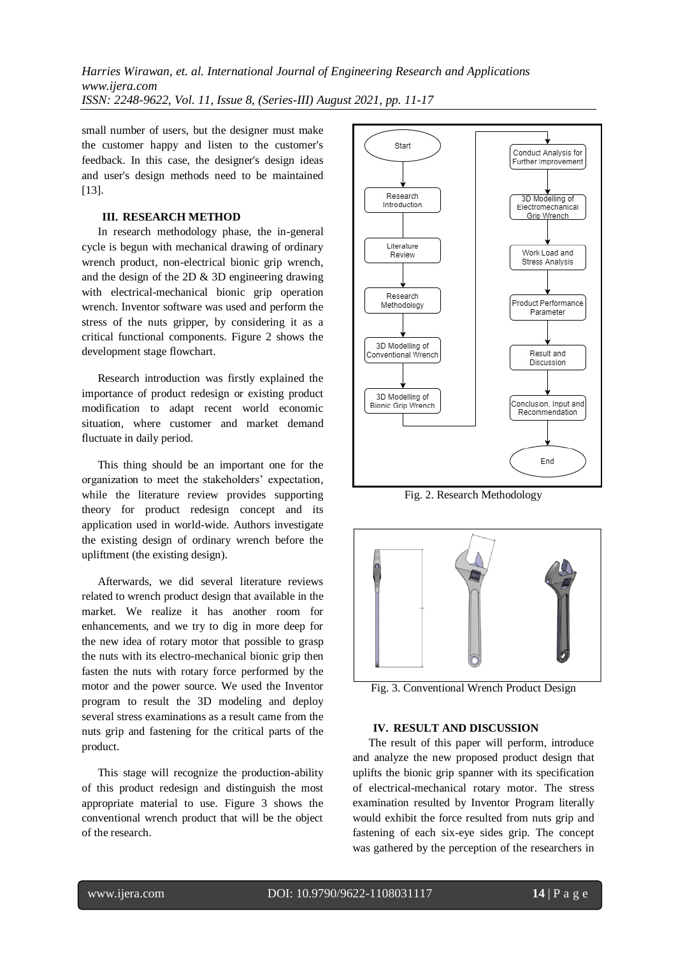small number of users, but the designer must make the customer happy and listen to the customer's feedback. In this case, the designer's design ideas and user's design methods need to be maintained [13].

#### **III. RESEARCH METHOD**

In research methodology phase, the in-general cycle is begun with mechanical drawing of ordinary wrench product, non-electrical bionic grip wrench, and the design of the 2D & 3D engineering drawing with electrical-mechanical bionic grip operation wrench. Inventor software was used and perform the stress of the nuts gripper, by considering it as a critical functional components. Figure 2 shows the development stage flowchart.

Research introduction was firstly explained the importance of product redesign or existing product modification to adapt recent world economic situation, where customer and market demand fluctuate in daily period.

This thing should be an important one for the organization to meet the stakeholders' expectation, while the literature review provides supporting theory for product redesign concept and its application used in world-wide. Authors investigate the existing design of ordinary wrench before the upliftment (the existing design).

Afterwards, we did several literature reviews related to wrench product design that available in the market. We realize it has another room for enhancements, and we try to dig in more deep for the new idea of rotary motor that possible to grasp the nuts with its electro-mechanical bionic grip then fasten the nuts with rotary force performed by the motor and the power source. We used the Inventor program to result the 3D modeling and deploy several stress examinations as a result came from the nuts grip and fastening for the critical parts of the product.

This stage will recognize the production-ability of this product redesign and distinguish the most appropriate material to use. Figure 3 shows the conventional wrench product that will be the object of the research.



Fig. 2. Research Methodology



Fig. 3. Conventional Wrench Product Design

# **IV. RESULT AND DISCUSSION**

The result of this paper will perform, introduce and analyze the new proposed product design that uplifts the bionic grip spanner with its specification of electrical-mechanical rotary motor. The stress examination resulted by Inventor Program literally would exhibit the force resulted from nuts grip and fastening of each six-eye sides grip. The concept was gathered by the perception of the researchers in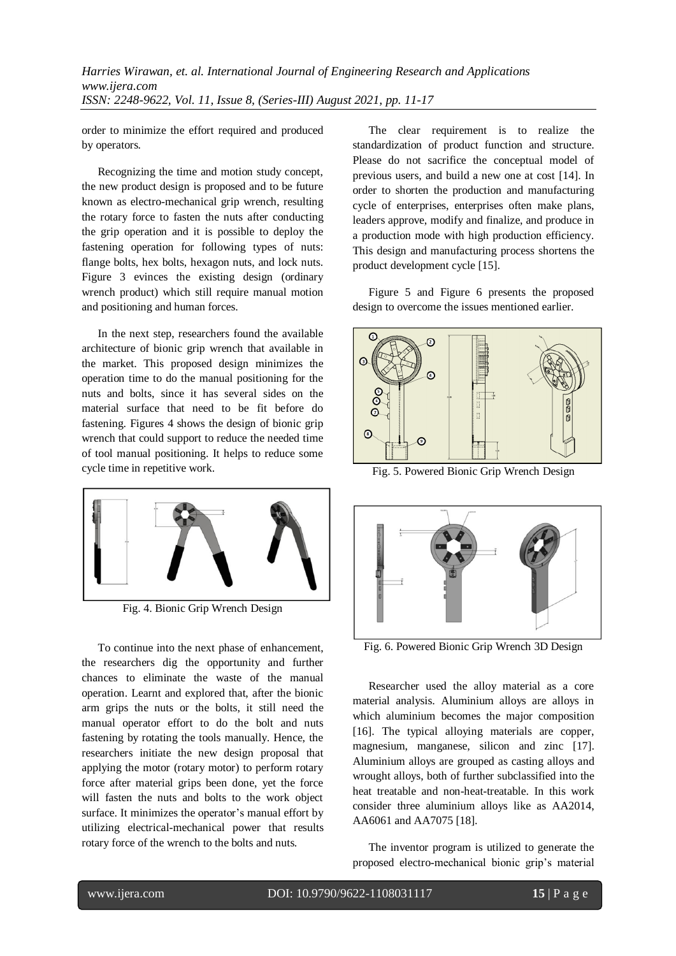order to minimize the effort required and produced by operators.

Recognizing the time and motion study concept, the new product design is proposed and to be future known as electro-mechanical grip wrench, resulting the rotary force to fasten the nuts after conducting the grip operation and it is possible to deploy the fastening operation for following types of nuts: flange bolts, hex bolts, hexagon nuts, and lock nuts. Figure 3 evinces the existing design (ordinary wrench product) which still require manual motion and positioning and human forces.

In the next step, researchers found the available architecture of bionic grip wrench that available in the market. This proposed design minimizes the operation time to do the manual positioning for the nuts and bolts, since it has several sides on the material surface that need to be fit before do fastening. Figures 4 shows the design of bionic grip wrench that could support to reduce the needed time of tool manual positioning. It helps to reduce some cycle time in repetitive work.



Fig. 4. Bionic Grip Wrench Design

To continue into the next phase of enhancement, the researchers dig the opportunity and further chances to eliminate the waste of the manual operation. Learnt and explored that, after the bionic arm grips the nuts or the bolts, it still need the manual operator effort to do the bolt and nuts fastening by rotating the tools manually. Hence, the researchers initiate the new design proposal that applying the motor (rotary motor) to perform rotary force after material grips been done, yet the force will fasten the nuts and bolts to the work object surface. It minimizes the operator's manual effort by utilizing electrical-mechanical power that results rotary force of the wrench to the bolts and nuts.

The clear requirement is to realize the standardization of product function and structure. Please do not sacrifice the conceptual model of previous users, and build a new one at cost [14]. In order to shorten the production and manufacturing cycle of enterprises, enterprises often make plans, leaders approve, modify and finalize, and produce in a production mode with high production efficiency. This design and manufacturing process shortens the product development cycle [15].

Figure 5 and Figure 6 presents the proposed design to overcome the issues mentioned earlier.



Fig. 5. Powered Bionic Grip Wrench Design



Fig. 6. Powered Bionic Grip Wrench 3D Design

Researcher used the alloy material as a core material analysis. Aluminium alloys are alloys in which aluminium becomes the major composition [16]. The typical alloying materials are copper, magnesium, manganese, silicon and zinc [17]. Aluminium alloys are grouped as casting alloys and wrought alloys, both of further subclassified into the heat treatable and non-heat-treatable. In this work consider three aluminium alloys like as AA2014, AA6061 and AA7075 [18].

The inventor program is utilized to generate the proposed electro-mechanical bionic grip's material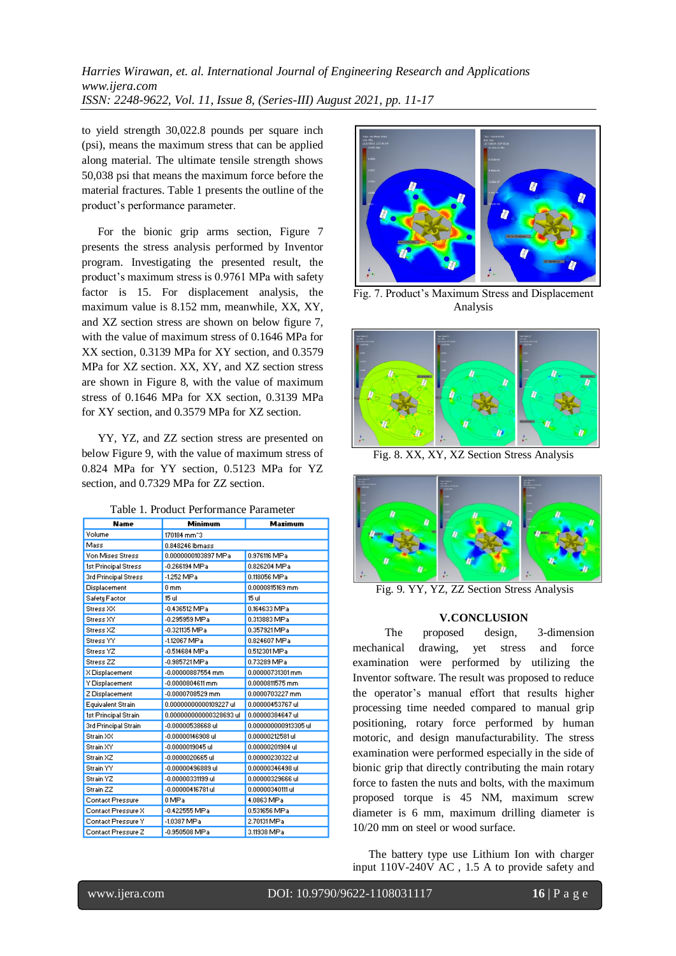to yield strength 30,022.8 pounds per square inch (psi), means the maximum stress that can be applied along material. The ultimate tensile strength shows 50,038 psi that means the maximum force before the material fractures. Table 1 presents the outline of the product's performance parameter.

For the bionic grip arms section, Figure 7 presents the stress analysis performed by Inventor program. Investigating the presented result, the product's maximum stress is 0.9761 MPa with safety factor is 15. For displacement analysis, the maximum value is 8.152 mm, meanwhile, XX, XY, and XZ section stress are shown on below figure 7, with the value of maximum stress of 0.1646 MPa for XX section, 0.3139 MPa for XY section, and 0.3579 MPa for XZ section. XX, XY, and XZ section stress are shown in Figure 8, with the value of maximum stress of 0.1646 MPa for XX section, 0.3139 MPa for XY section, and 0.3579 MPa for XZ section.

YY, YZ, and ZZ section stress are presented on below Figure 9, with the value of maximum stress of 0.824 MPa for YY section, 0.5123 MPa for YZ section, and 0.7329 MPa for ZZ section.

| <b>Name</b>             | Minimum                 | <b>Maximum</b>       |
|-------------------------|-------------------------|----------------------|
| Volume                  | 170184 mm <sup>-3</sup> |                      |
| Mass                    | 0.848246 lbmass         |                      |
| <b>Von Mises Stress</b> | 0.0000000103897 MPa     | 0.976116 MPa         |
| 1st Principal Stress    | $-0.266194$ MPa         | 0.826204 MPa         |
| 3rd Principal Stress    | $-1.252$ MPa            | 0.118056 MPa         |
| Displacement            | $0 \text{ mm}$          | 0.0000815169 mm      |
| Safety Factor           | 15 ul                   | 15 ul                |
| Stress XX               | -0.436512 MPa           | 0.164633 MPa         |
| Stress XY               | -0.295959 MPa           | 0.313883 MPa         |
| Stress XZ               | -0.321135 MPa           | 0.357921MPa          |
| Stress YY               | -1.12067 MPa            | 0.824607 MPa         |
| Stress YZ               | -0.514684 MPa           | 0.512301 MPa         |
| Stress <sub>ZZ</sub>    | -0.985721MPa            | 0.73289 MPa          |
| X Displacement          | $-0.00000887554$ mm     | 0.00000731301mm      |
| Y Displacement          | $-0.0000804611$ mm      | 0.0000811575 mm      |
| Z Displacement          | $-0.0000708529$ mm      | 0.0000703227 mm      |
| Equivalent Strain       | 0.00000000000109227 ul  | 0.00000453767 ul     |
| 1st Principal Strain    | 0.000000000000328693 ul | 0.00000384647 ul     |
| 3rd Principal Strain    | -0.00000538668 ul       | 0.000000000913305 ul |
| Strain XX               | -0.00000146908 ul       | 0.00000212581 ul     |
| Strain XY               | $-0.0000019045$ ul      | 0.00000201984 ul     |
| Strain XZ               | $-0.0000020665$ ul      | 0.00000230322 ul     |
| Strain YY               | -0.00000496889 ul       | 0.00000346498 ul     |
| Strain YZ               | -0.00000331199 ul       | 0.00000329666 ul     |
| Strain ZZ               | $-0.00000416781$ ul     | 0.00000340111 ul     |
| Contact Pressure        | 0 MPa                   | 4.0863 MPa           |
| Contact Pressure X      | $-0.422555$ MPa         | 0.531656 MPa         |
| Contact Pressure Y      | -1.0387 MPa             | 2.70131 MPa          |
| Contact Pressure Z      | -0.950508 MPa           | 3.11938 MPa          |



Fig. 7. Product's Maximum Stress and Displacement Analysis



Fig. 8. XX, XY, XZ Section Stress Analysis



Fig. 9. YY, YZ, ZZ Section Stress Analysis

#### **V.CONCLUSION**

The proposed design, 3-dimension mechanical drawing, yet stress and force examination were performed by utilizing the Inventor software. The result was proposed to reduce the operator's manual effort that results higher processing time needed compared to manual grip positioning, rotary force performed by human motoric, and design manufacturability. The stress examination were performed especially in the side of bionic grip that directly contributing the main rotary force to fasten the nuts and bolts, with the maximum proposed torque is 45 NM, maximum screw diameter is 6 mm, maximum drilling diameter is 10/20 mm on steel or wood surface.

The battery type use Lithium Ion with charger input 110V-240V AC , 1.5 A to provide safety and